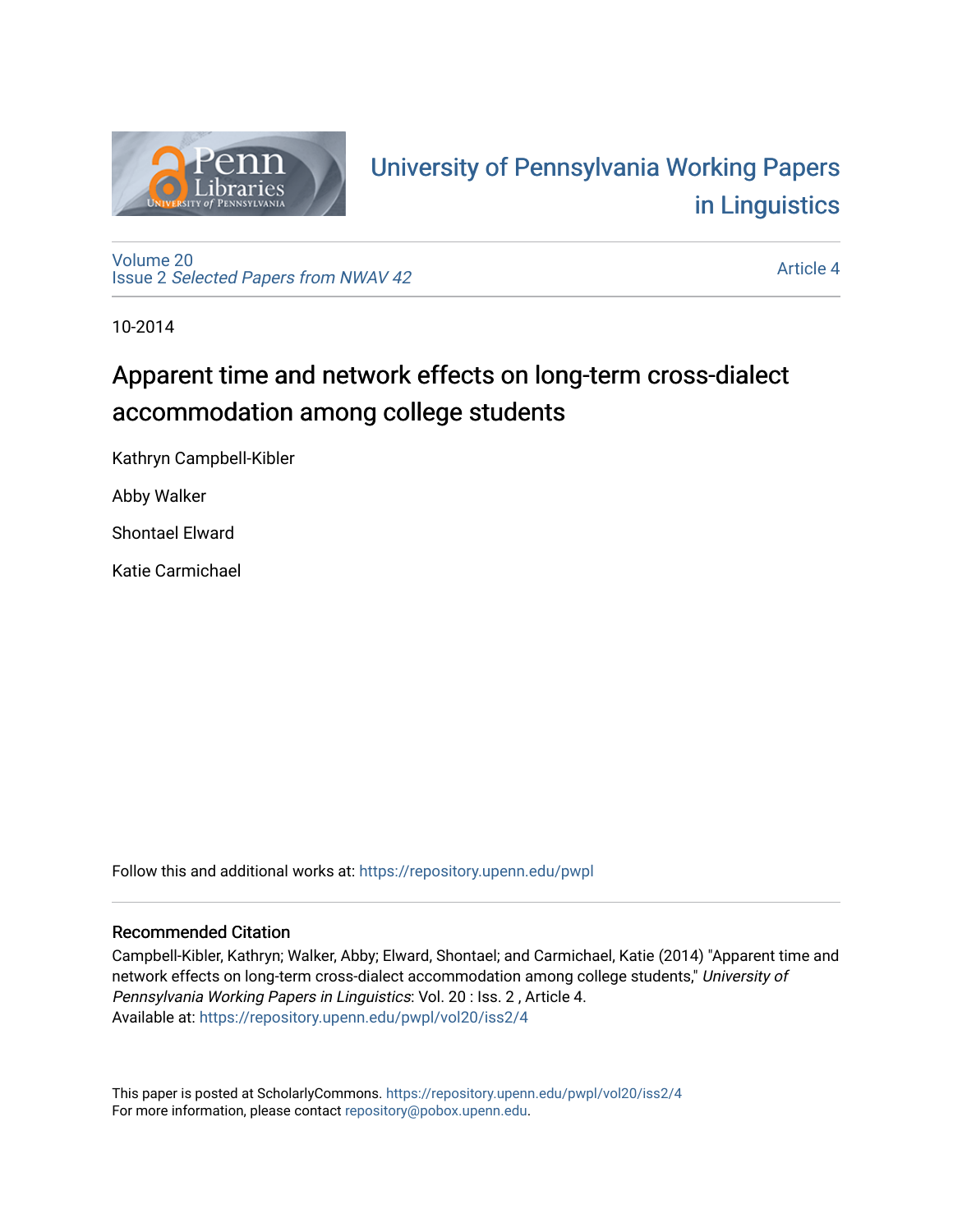

# University of P[ennsylvania Working P](https://repository.upenn.edu/pwpl)apers [in Linguistics](https://repository.upenn.edu/pwpl)

[Volume 20](https://repository.upenn.edu/pwpl/vol20) Issue 2 [Selected Papers from NWAV 42](https://repository.upenn.edu/pwpl/vol20/iss2) 

[Article 4](https://repository.upenn.edu/pwpl/vol20/iss2/4) 

10-2014

# Apparent time and network effects on long-term cross-dialect accommodation among college students

Kathryn Campbell-Kibler

Abby Walker

Shontael Elward

Katie Carmichael

Follow this and additional works at: [https://repository.upenn.edu/pwpl](https://repository.upenn.edu/pwpl?utm_source=repository.upenn.edu%2Fpwpl%2Fvol20%2Fiss2%2F4&utm_medium=PDF&utm_campaign=PDFCoverPages) 

### Recommended Citation

Campbell-Kibler, Kathryn; Walker, Abby; Elward, Shontael; and Carmichael, Katie (2014) "Apparent time and network effects on long-term cross-dialect accommodation among college students," University of Pennsylvania Working Papers in Linguistics: Vol. 20 : Iss. 2 , Article 4. Available at: [https://repository.upenn.edu/pwpl/vol20/iss2/4](https://repository.upenn.edu/pwpl/vol20/iss2/4?utm_source=repository.upenn.edu%2Fpwpl%2Fvol20%2Fiss2%2F4&utm_medium=PDF&utm_campaign=PDFCoverPages) 

This paper is posted at ScholarlyCommons.<https://repository.upenn.edu/pwpl/vol20/iss2/4> For more information, please contact [repository@pobox.upenn.edu.](mailto:repository@pobox.upenn.edu)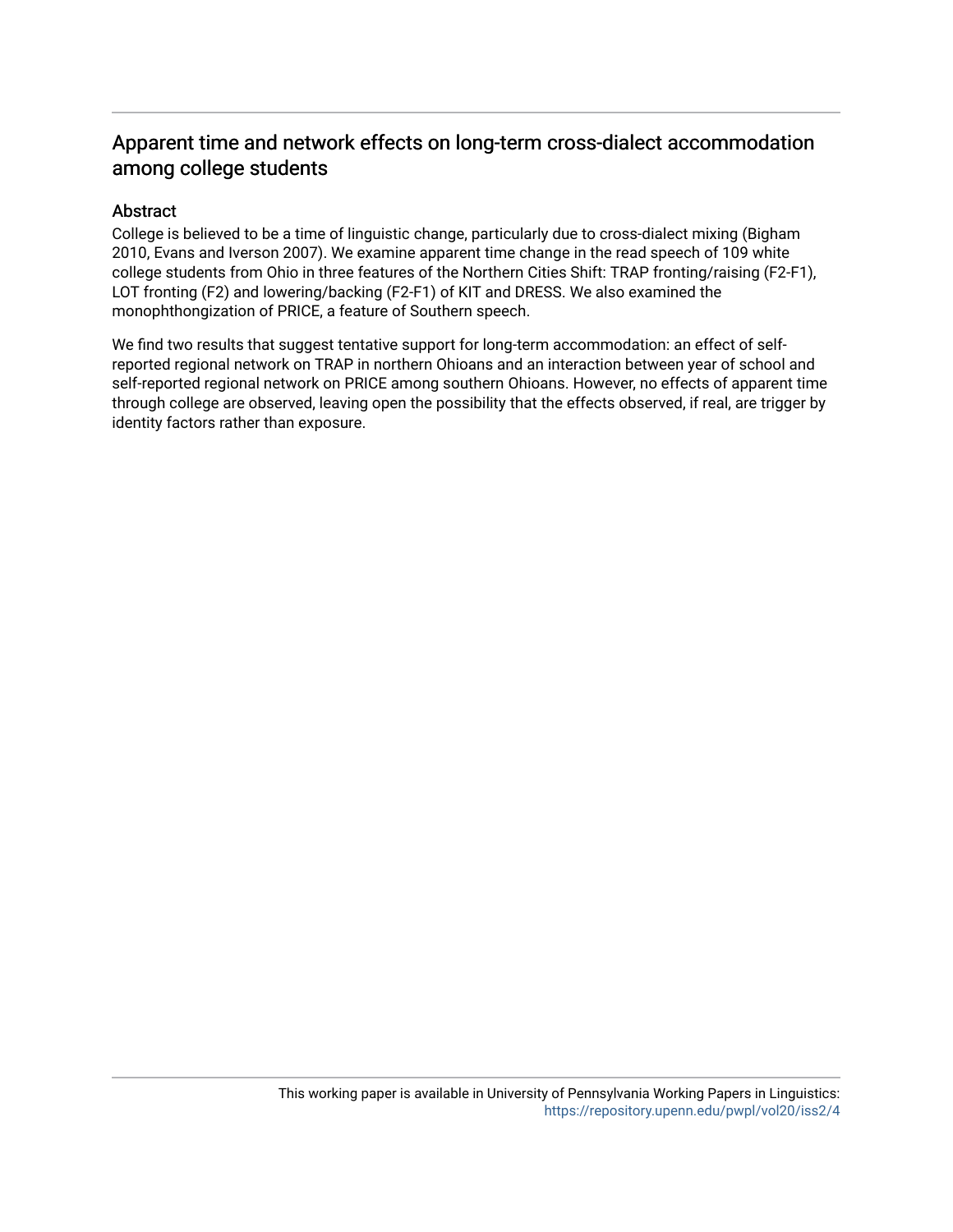# Apparent time and network effects on long-term cross-dialect accommodation among college students

## Abstract

College is believed to be a time of linguistic change, particularly due to cross-dialect mixing (Bigham 2010, Evans and Iverson 2007). We examine apparent time change in the read speech of 109 white college students from Ohio in three features of the Northern Cities Shift: TRAP fronting/raising (F2-F1), LOT fronting (F2) and lowering/backing (F2-F1) of KIT and DRESS. We also examined the monophthongization of PRICE, a feature of Southern speech.

We find two results that suggest tentative support for long-term accommodation: an effect of selfreported regional network on TRAP in northern Ohioans and an interaction between year of school and self-reported regional network on PRICE among southern Ohioans. However, no effects of apparent time through college are observed, leaving open the possibility that the effects observed, if real, are trigger by identity factors rather than exposure.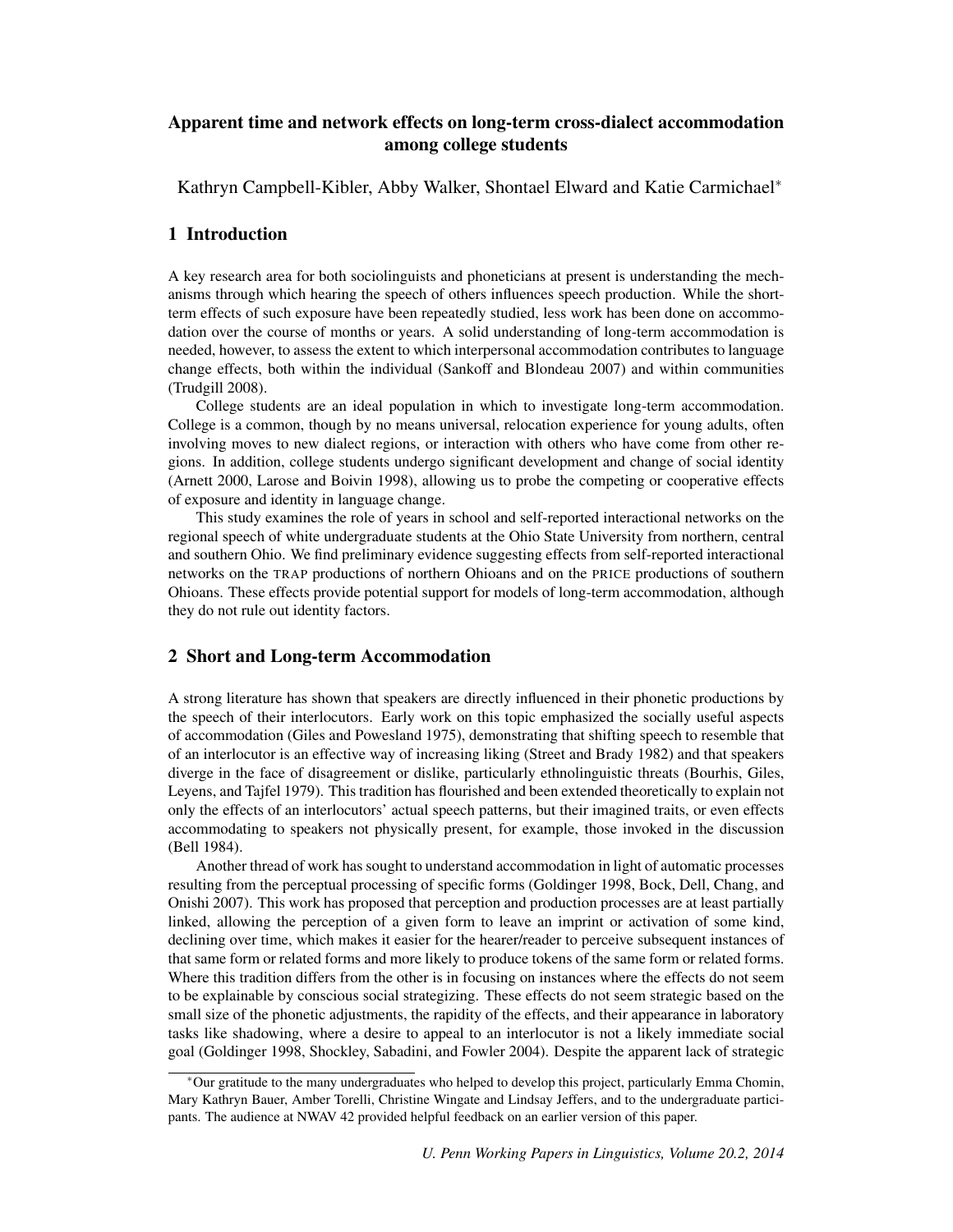### Apparent time and network effects on long-term cross-dialect accommodation among college students

Kathryn Campbell-Kibler, Abby Walker, Shontael Elward and Katie Carmichael<sup>∗</sup>

#### 1 Introduction

A key research area for both sociolinguists and phoneticians at present is understanding the mechanisms through which hearing the speech of others influences speech production. While the shortterm effects of such exposure have been repeatedly studied, less work has been done on accommodation over the course of months or years. A solid understanding of long-term accommodation is needed, however, to assess the extent to which interpersonal accommodation contributes to language change effects, both within the individual (Sankoff and Blondeau 2007) and within communities (Trudgill 2008).

College students are an ideal population in which to investigate long-term accommodation. College is a common, though by no means universal, relocation experience for young adults, often involving moves to new dialect regions, or interaction with others who have come from other regions. In addition, college students undergo significant development and change of social identity (Arnett 2000, Larose and Boivin 1998), allowing us to probe the competing or cooperative effects of exposure and identity in language change.

This study examines the role of years in school and self-reported interactional networks on the regional speech of white undergraduate students at the Ohio State University from northern, central and southern Ohio. We find preliminary evidence suggesting effects from self-reported interactional networks on the TRAP productions of northern Ohioans and on the PRICE productions of southern Ohioans. These effects provide potential support for models of long-term accommodation, although they do not rule out identity factors.

#### 2 Short and Long-term Accommodation

A strong literature has shown that speakers are directly influenced in their phonetic productions by the speech of their interlocutors. Early work on this topic emphasized the socially useful aspects of accommodation (Giles and Powesland 1975), demonstrating that shifting speech to resemble that of an interlocutor is an effective way of increasing liking (Street and Brady 1982) and that speakers diverge in the face of disagreement or dislike, particularly ethnolinguistic threats (Bourhis, Giles, Leyens, and Tajfel 1979). This tradition has flourished and been extended theoretically to explain not only the effects of an interlocutors' actual speech patterns, but their imagined traits, or even effects accommodating to speakers not physically present, for example, those invoked in the discussion (Bell 1984).

Another thread of work has sought to understand accommodation in light of automatic processes resulting from the perceptual processing of specific forms (Goldinger 1998, Bock, Dell, Chang, and Onishi 2007). This work has proposed that perception and production processes are at least partially linked, allowing the perception of a given form to leave an imprint or activation of some kind, declining over time, which makes it easier for the hearer/reader to perceive subsequent instances of that same form or related forms and more likely to produce tokens of the same form or related forms. Where this tradition differs from the other is in focusing on instances where the effects do not seem to be explainable by conscious social strategizing. These effects do not seem strategic based on the small size of the phonetic adjustments, the rapidity of the effects, and their appearance in laboratory tasks like shadowing, where a desire to appeal to an interlocutor is not a likely immediate social goal (Goldinger 1998, Shockley, Sabadini, and Fowler 2004). Despite the apparent lack of strategic

<sup>∗</sup>Our gratitude to the many undergraduates who helped to develop this project, particularly Emma Chomin, Mary Kathryn Bauer, Amber Torelli, Christine Wingate and Lindsay Jeffers, and to the undergraduate participants. The audience at NWAV 42 provided helpful feedback on an earlier version of this paper.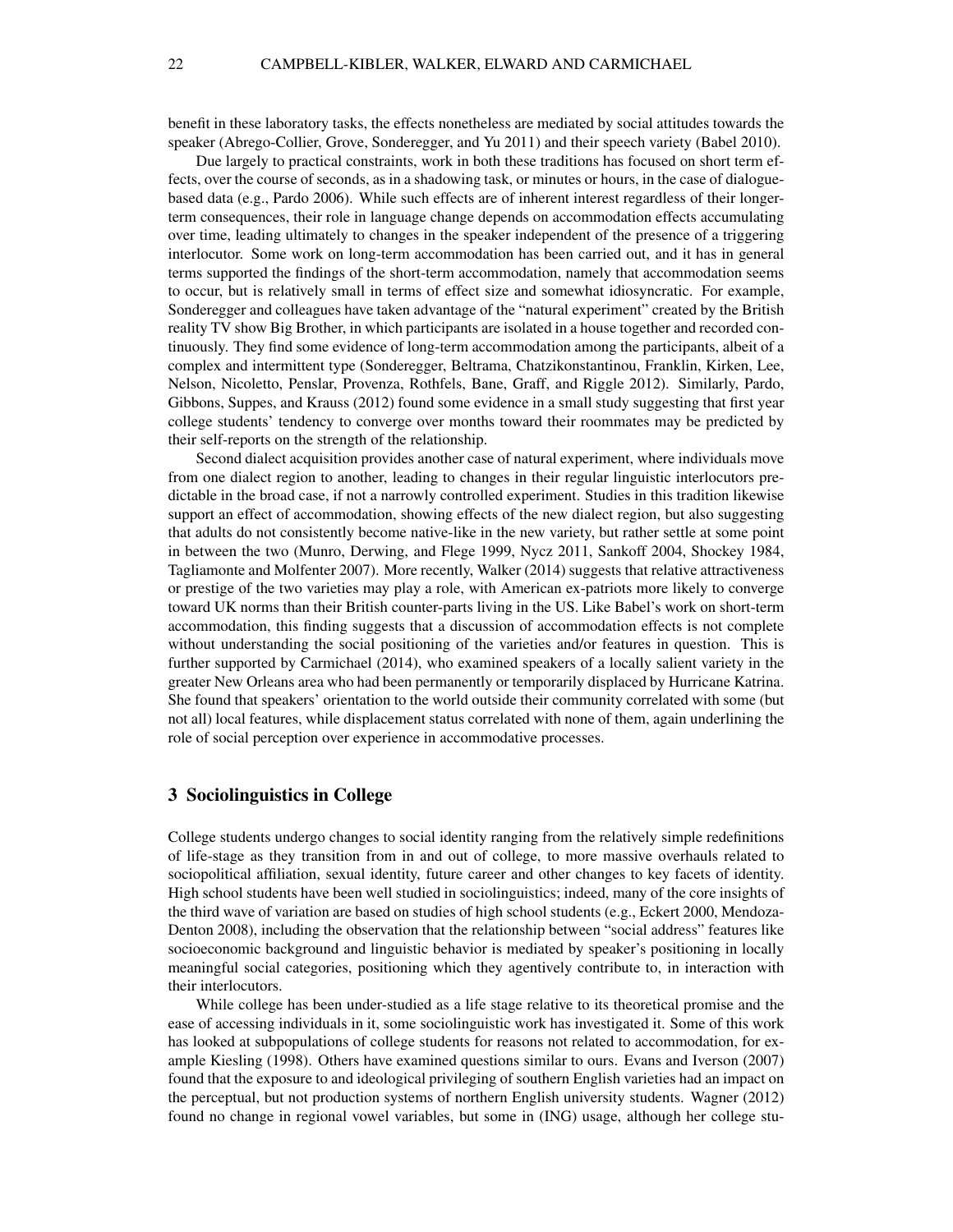benefit in these laboratory tasks, the effects nonetheless are mediated by social attitudes towards the speaker (Abrego-Collier, Grove, Sonderegger, and Yu 2011) and their speech variety (Babel 2010).

Due largely to practical constraints, work in both these traditions has focused on short term effects, over the course of seconds, as in a shadowing task, or minutes or hours, in the case of dialoguebased data (e.g., Pardo 2006). While such effects are of inherent interest regardless of their longerterm consequences, their role in language change depends on accommodation effects accumulating over time, leading ultimately to changes in the speaker independent of the presence of a triggering interlocutor. Some work on long-term accommodation has been carried out, and it has in general terms supported the findings of the short-term accommodation, namely that accommodation seems to occur, but is relatively small in terms of effect size and somewhat idiosyncratic. For example, Sonderegger and colleagues have taken advantage of the "natural experiment" created by the British reality TV show Big Brother, in which participants are isolated in a house together and recorded continuously. They find some evidence of long-term accommodation among the participants, albeit of a complex and intermittent type (Sonderegger, Beltrama, Chatzikonstantinou, Franklin, Kirken, Lee, Nelson, Nicoletto, Penslar, Provenza, Rothfels, Bane, Graff, and Riggle 2012). Similarly, Pardo, Gibbons, Suppes, and Krauss (2012) found some evidence in a small study suggesting that first year college students' tendency to converge over months toward their roommates may be predicted by their self-reports on the strength of the relationship.

Second dialect acquisition provides another case of natural experiment, where individuals move from one dialect region to another, leading to changes in their regular linguistic interlocutors predictable in the broad case, if not a narrowly controlled experiment. Studies in this tradition likewise support an effect of accommodation, showing effects of the new dialect region, but also suggesting that adults do not consistently become native-like in the new variety, but rather settle at some point in between the two (Munro, Derwing, and Flege 1999, Nycz 2011, Sankoff 2004, Shockey 1984, Tagliamonte and Molfenter 2007). More recently, Walker (2014) suggests that relative attractiveness or prestige of the two varieties may play a role, with American ex-patriots more likely to converge toward UK norms than their British counter-parts living in the US. Like Babel's work on short-term accommodation, this finding suggests that a discussion of accommodation effects is not complete without understanding the social positioning of the varieties and/or features in question. This is further supported by Carmichael (2014), who examined speakers of a locally salient variety in the greater New Orleans area who had been permanently or temporarily displaced by Hurricane Katrina. She found that speakers' orientation to the world outside their community correlated with some (but not all) local features, while displacement status correlated with none of them, again underlining the role of social perception over experience in accommodative processes.

#### 3 Sociolinguistics in College

College students undergo changes to social identity ranging from the relatively simple redefinitions of life-stage as they transition from in and out of college, to more massive overhauls related to sociopolitical affiliation, sexual identity, future career and other changes to key facets of identity. High school students have been well studied in sociolinguistics; indeed, many of the core insights of the third wave of variation are based on studies of high school students (e.g., Eckert 2000, Mendoza-Denton 2008), including the observation that the relationship between "social address" features like socioeconomic background and linguistic behavior is mediated by speaker's positioning in locally meaningful social categories, positioning which they agentively contribute to, in interaction with their interlocutors.

While college has been under-studied as a life stage relative to its theoretical promise and the ease of accessing individuals in it, some sociolinguistic work has investigated it. Some of this work has looked at subpopulations of college students for reasons not related to accommodation, for example Kiesling (1998). Others have examined questions similar to ours. Evans and Iverson (2007) found that the exposure to and ideological privileging of southern English varieties had an impact on the perceptual, but not production systems of northern English university students. Wagner (2012) found no change in regional vowel variables, but some in (ING) usage, although her college stu-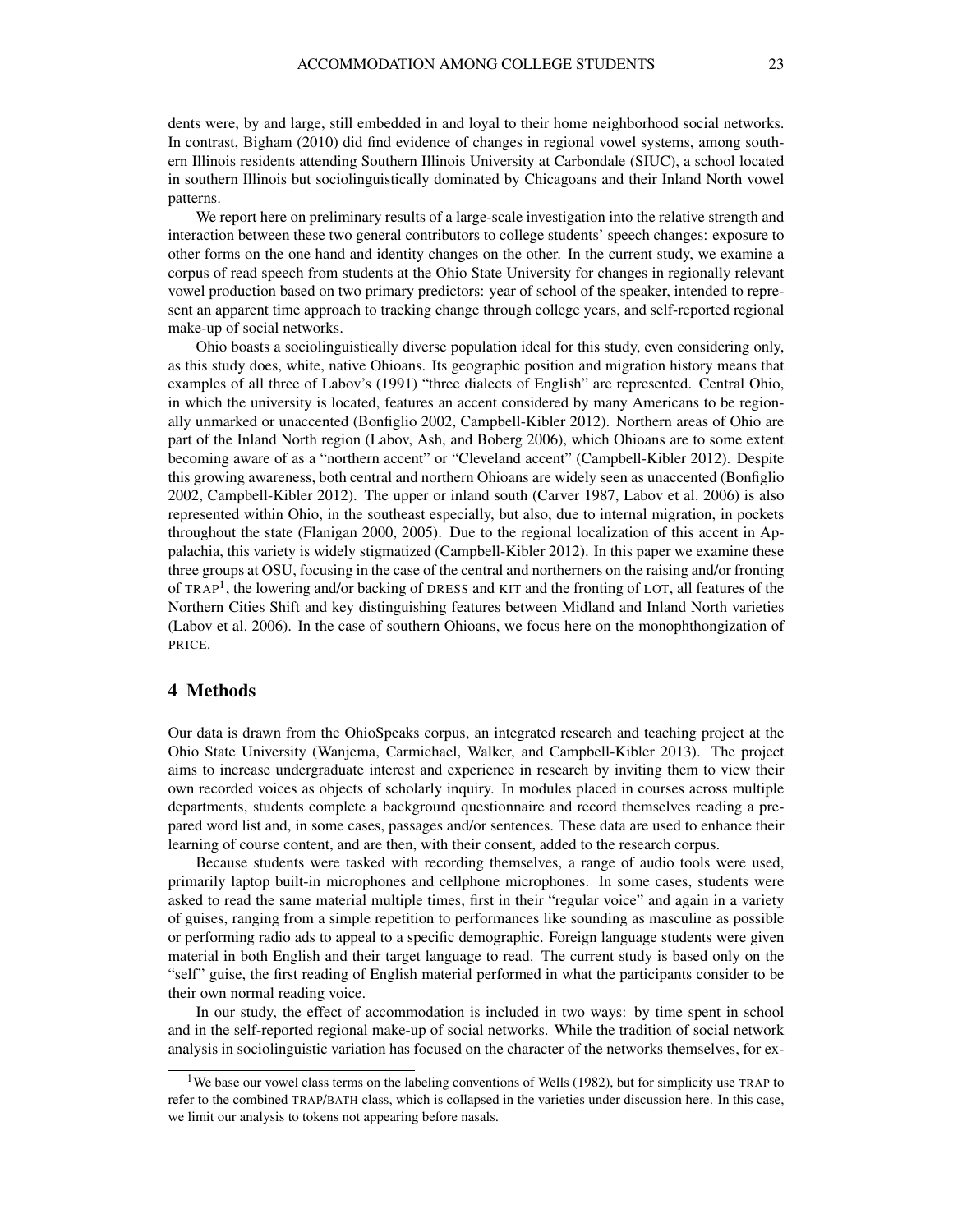dents were, by and large, still embedded in and loyal to their home neighborhood social networks. In contrast, Bigham (2010) did find evidence of changes in regional vowel systems, among southern Illinois residents attending Southern Illinois University at Carbondale (SIUC), a school located in southern Illinois but sociolinguistically dominated by Chicagoans and their Inland North vowel patterns.

We report here on preliminary results of a large-scale investigation into the relative strength and interaction between these two general contributors to college students' speech changes: exposure to other forms on the one hand and identity changes on the other. In the current study, we examine a corpus of read speech from students at the Ohio State University for changes in regionally relevant vowel production based on two primary predictors: year of school of the speaker, intended to represent an apparent time approach to tracking change through college years, and self-reported regional make-up of social networks.

Ohio boasts a sociolinguistically diverse population ideal for this study, even considering only, as this study does, white, native Ohioans. Its geographic position and migration history means that examples of all three of Labov's (1991) "three dialects of English" are represented. Central Ohio, in which the university is located, features an accent considered by many Americans to be regionally unmarked or unaccented (Bonfiglio 2002, Campbell-Kibler 2012). Northern areas of Ohio are part of the Inland North region (Labov, Ash, and Boberg 2006), which Ohioans are to some extent becoming aware of as a "northern accent" or "Cleveland accent" (Campbell-Kibler 2012). Despite this growing awareness, both central and northern Ohioans are widely seen as unaccented (Bonfiglio 2002, Campbell-Kibler 2012). The upper or inland south (Carver 1987, Labov et al. 2006) is also represented within Ohio, in the southeast especially, but also, due to internal migration, in pockets throughout the state (Flanigan 2000, 2005). Due to the regional localization of this accent in Appalachia, this variety is widely stigmatized (Campbell-Kibler 2012). In this paper we examine these three groups at OSU, focusing in the case of the central and northerners on the raising and/or fronting of TRAP<sup>1</sup>, the lowering and/or backing of DRESS and KIT and the fronting of LOT, all features of the Northern Cities Shift and key distinguishing features between Midland and Inland North varieties (Labov et al. 2006). In the case of southern Ohioans, we focus here on the monophthongization of PRICE.

#### 4 Methods

Our data is drawn from the OhioSpeaks corpus, an integrated research and teaching project at the Ohio State University (Wanjema, Carmichael, Walker, and Campbell-Kibler 2013). The project aims to increase undergraduate interest and experience in research by inviting them to view their own recorded voices as objects of scholarly inquiry. In modules placed in courses across multiple departments, students complete a background questionnaire and record themselves reading a prepared word list and, in some cases, passages and/or sentences. These data are used to enhance their learning of course content, and are then, with their consent, added to the research corpus.

Because students were tasked with recording themselves, a range of audio tools were used, primarily laptop built-in microphones and cellphone microphones. In some cases, students were asked to read the same material multiple times, first in their "regular voice" and again in a variety of guises, ranging from a simple repetition to performances like sounding as masculine as possible or performing radio ads to appeal to a specific demographic. Foreign language students were given material in both English and their target language to read. The current study is based only on the "self" guise, the first reading of English material performed in what the participants consider to be their own normal reading voice.

In our study, the effect of accommodation is included in two ways: by time spent in school and in the self-reported regional make-up of social networks. While the tradition of social network analysis in sociolinguistic variation has focused on the character of the networks themselves, for ex-

<sup>&</sup>lt;sup>1</sup>We base our vowel class terms on the labeling conventions of Wells (1982), but for simplicity use TRAP to refer to the combined TRAP/BATH class, which is collapsed in the varieties under discussion here. In this case, we limit our analysis to tokens not appearing before nasals.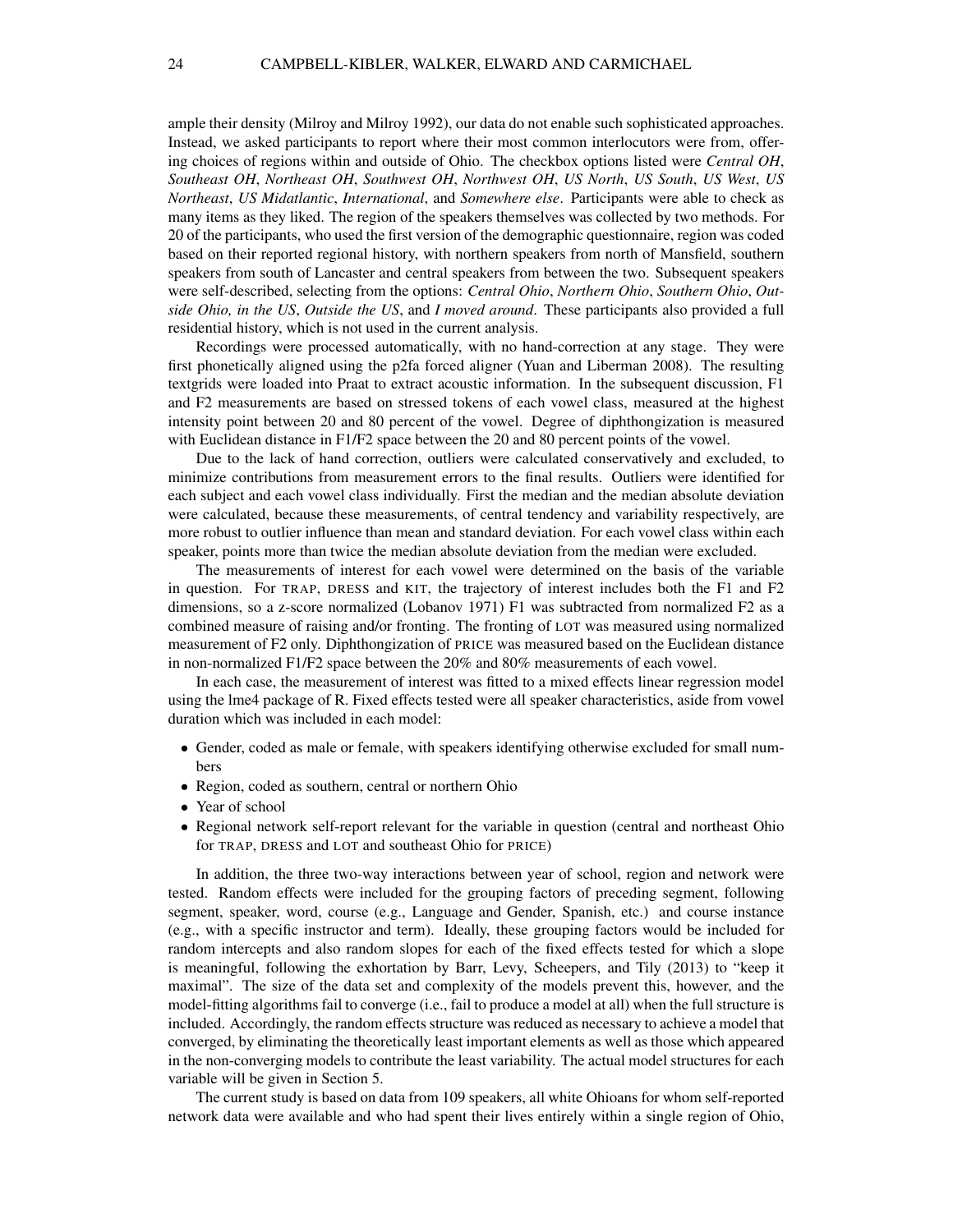ample their density (Milroy and Milroy 1992), our data do not enable such sophisticated approaches. Instead, we asked participants to report where their most common interlocutors were from, offering choices of regions within and outside of Ohio. The checkbox options listed were *Central OH*, *Southeast OH*, *Northeast OH*, *Southwest OH*, *Northwest OH*, *US North*, *US South*, *US West*, *US Northeast*, *US Midatlantic*, *International*, and *Somewhere else*. Participants were able to check as many items as they liked. The region of the speakers themselves was collected by two methods. For 20 of the participants, who used the first version of the demographic questionnaire, region was coded based on their reported regional history, with northern speakers from north of Mansfield, southern speakers from south of Lancaster and central speakers from between the two. Subsequent speakers were self-described, selecting from the options: *Central Ohio*, *Northern Ohio*, *Southern Ohio*, *Outside Ohio, in the US*, *Outside the US*, and *I moved around*. These participants also provided a full residential history, which is not used in the current analysis.

Recordings were processed automatically, with no hand-correction at any stage. They were first phonetically aligned using the p2fa forced aligner (Yuan and Liberman 2008). The resulting textgrids were loaded into Praat to extract acoustic information. In the subsequent discussion, F1 and F2 measurements are based on stressed tokens of each vowel class, measured at the highest intensity point between 20 and 80 percent of the vowel. Degree of diphthongization is measured with Euclidean distance in F1/F2 space between the 20 and 80 percent points of the vowel.

Due to the lack of hand correction, outliers were calculated conservatively and excluded, to minimize contributions from measurement errors to the final results. Outliers were identified for each subject and each vowel class individually. First the median and the median absolute deviation were calculated, because these measurements, of central tendency and variability respectively, are more robust to outlier influence than mean and standard deviation. For each vowel class within each speaker, points more than twice the median absolute deviation from the median were excluded.

The measurements of interest for each vowel were determined on the basis of the variable in question. For TRAP, DRESS and KIT, the trajectory of interest includes both the F1 and F2 dimensions, so a z-score normalized (Lobanov 1971) F1 was subtracted from normalized F2 as a combined measure of raising and/or fronting. The fronting of LOT was measured using normalized measurement of F2 only. Diphthongization of PRICE was measured based on the Euclidean distance in non-normalized F1/F2 space between the 20% and 80% measurements of each vowel.

In each case, the measurement of interest was fitted to a mixed effects linear regression model using the lme4 package of R. Fixed effects tested were all speaker characteristics, aside from vowel duration which was included in each model:

- Gender, coded as male or female, with speakers identifying otherwise excluded for small numbers
- Region, coded as southern, central or northern Ohio
- Year of school
- Regional network self-report relevant for the variable in question (central and northeast Ohio for TRAP, DRESS and LOT and southeast Ohio for PRICE)

In addition, the three two-way interactions between year of school, region and network were tested. Random effects were included for the grouping factors of preceding segment, following segment, speaker, word, course (e.g., Language and Gender, Spanish, etc.) and course instance (e.g., with a specific instructor and term). Ideally, these grouping factors would be included for random intercepts and also random slopes for each of the fixed effects tested for which a slope is meaningful, following the exhortation by Barr, Levy, Scheepers, and Tily (2013) to "keep it maximal". The size of the data set and complexity of the models prevent this, however, and the model-fitting algorithms fail to converge (i.e., fail to produce a model at all) when the full structure is included. Accordingly, the random effects structure was reduced as necessary to achieve a model that converged, by eliminating the theoretically least important elements as well as those which appeared in the non-converging models to contribute the least variability. The actual model structures for each variable will be given in Section 5.

The current study is based on data from 109 speakers, all white Ohioans for whom self-reported network data were available and who had spent their lives entirely within a single region of Ohio,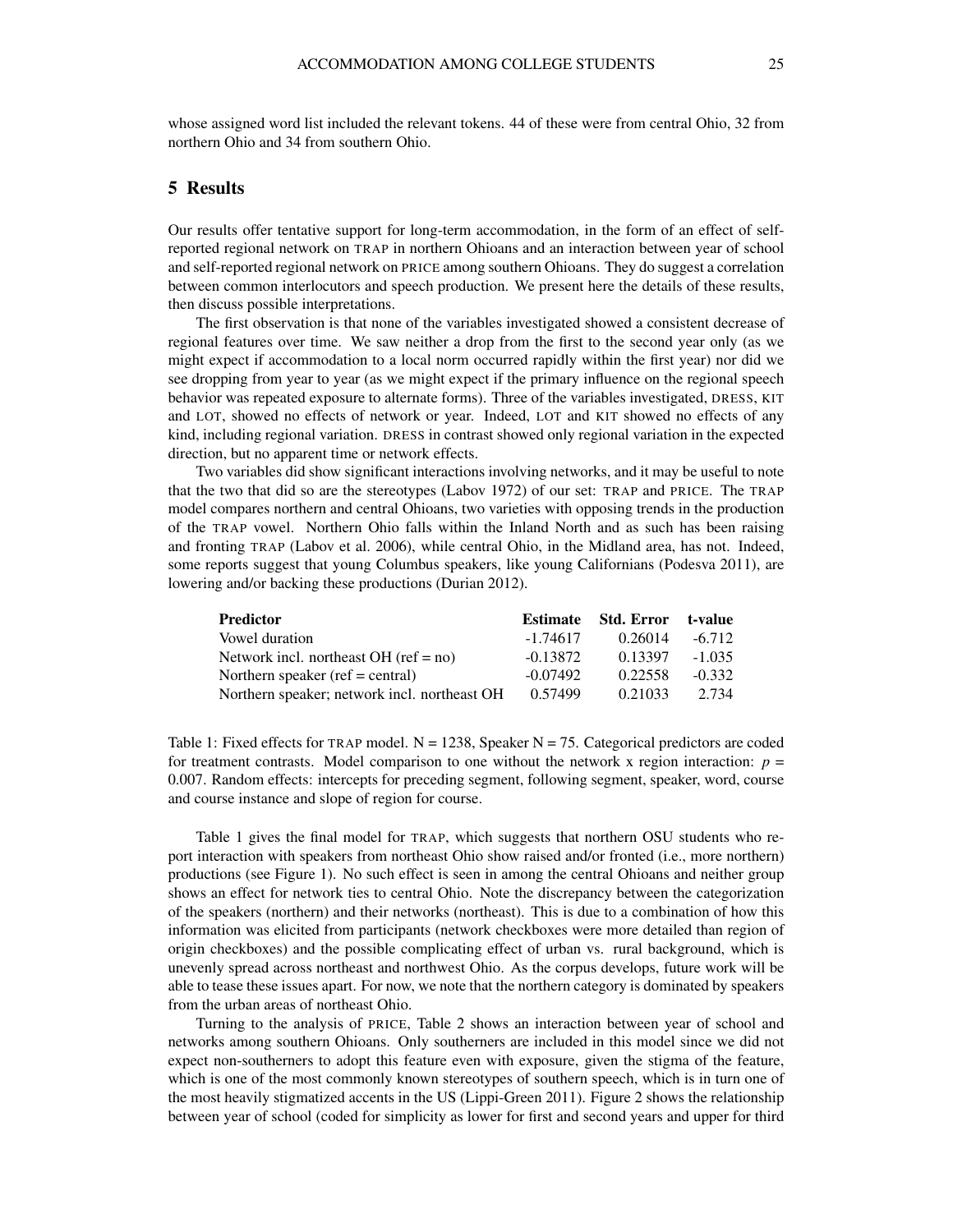whose assigned word list included the relevant tokens. 44 of these were from central Ohio, 32 from northern Ohio and 34 from southern Ohio.

#### 5 Results

Our results offer tentative support for long-term accommodation, in the form of an effect of selfreported regional network on TRAP in northern Ohioans and an interaction between year of school and self-reported regional network on PRICE among southern Ohioans. They do suggest a correlation between common interlocutors and speech production. We present here the details of these results, then discuss possible interpretations.

The first observation is that none of the variables investigated showed a consistent decrease of regional features over time. We saw neither a drop from the first to the second year only (as we might expect if accommodation to a local norm occurred rapidly within the first year) nor did we see dropping from year to year (as we might expect if the primary influence on the regional speech behavior was repeated exposure to alternate forms). Three of the variables investigated, DRESS, KIT and LOT, showed no effects of network or year. Indeed, LOT and KIT showed no effects of any kind, including regional variation. DRESS in contrast showed only regional variation in the expected direction, but no apparent time or network effects.

Two variables did show significant interactions involving networks, and it may be useful to note that the two that did so are the stereotypes (Labov 1972) of our set: TRAP and PRICE. The TRAP model compares northern and central Ohioans, two varieties with opposing trends in the production of the TRAP vowel. Northern Ohio falls within the Inland North and as such has been raising and fronting TRAP (Labov et al. 2006), while central Ohio, in the Midland area, has not. Indeed, some reports suggest that young Columbus speakers, like young Californians (Podesva 2011), are lowering and/or backing these productions (Durian 2012).

| <b>Predictor</b>                             | <b>Estimate</b> | Std. Error | t-value  |
|----------------------------------------------|-----------------|------------|----------|
| Vowel duration                               | -1.74617        | 0.26014    | $-6.712$ |
| Network incl. northeast OH ( $ref = no$ )    | $-0.13872$      | 0.13397    | $-1.035$ |
| Northern speaker (ref = central)             | $-0.07492$      | 0.22558    | $-0.332$ |
| Northern speaker; network incl. northeast OH | 0.57499         | 0.21033    | 2.734    |

Table 1: Fixed effects for TRAP model.  $N = 1238$ , Speaker  $N = 75$ . Categorical predictors are coded for treatment contrasts. Model comparison to one without the network x region interaction:  $p =$ 0.007. Random effects: intercepts for preceding segment, following segment, speaker, word, course and course instance and slope of region for course.

Table 1 gives the final model for TRAP, which suggests that northern OSU students who report interaction with speakers from northeast Ohio show raised and/or fronted (i.e., more northern) productions (see Figure 1). No such effect is seen in among the central Ohioans and neither group shows an effect for network ties to central Ohio. Note the discrepancy between the categorization of the speakers (northern) and their networks (northeast). This is due to a combination of how this information was elicited from participants (network checkboxes were more detailed than region of origin checkboxes) and the possible complicating effect of urban vs. rural background, which is unevenly spread across northeast and northwest Ohio. As the corpus develops, future work will be able to tease these issues apart. For now, we note that the northern category is dominated by speakers from the urban areas of northeast Ohio.

Turning to the analysis of PRICE, Table 2 shows an interaction between year of school and networks among southern Ohioans. Only southerners are included in this model since we did not expect non-southerners to adopt this feature even with exposure, given the stigma of the feature, which is one of the most commonly known stereotypes of southern speech, which is in turn one of the most heavily stigmatized accents in the US (Lippi-Green 2011). Figure 2 shows the relationship between year of school (coded for simplicity as lower for first and second years and upper for third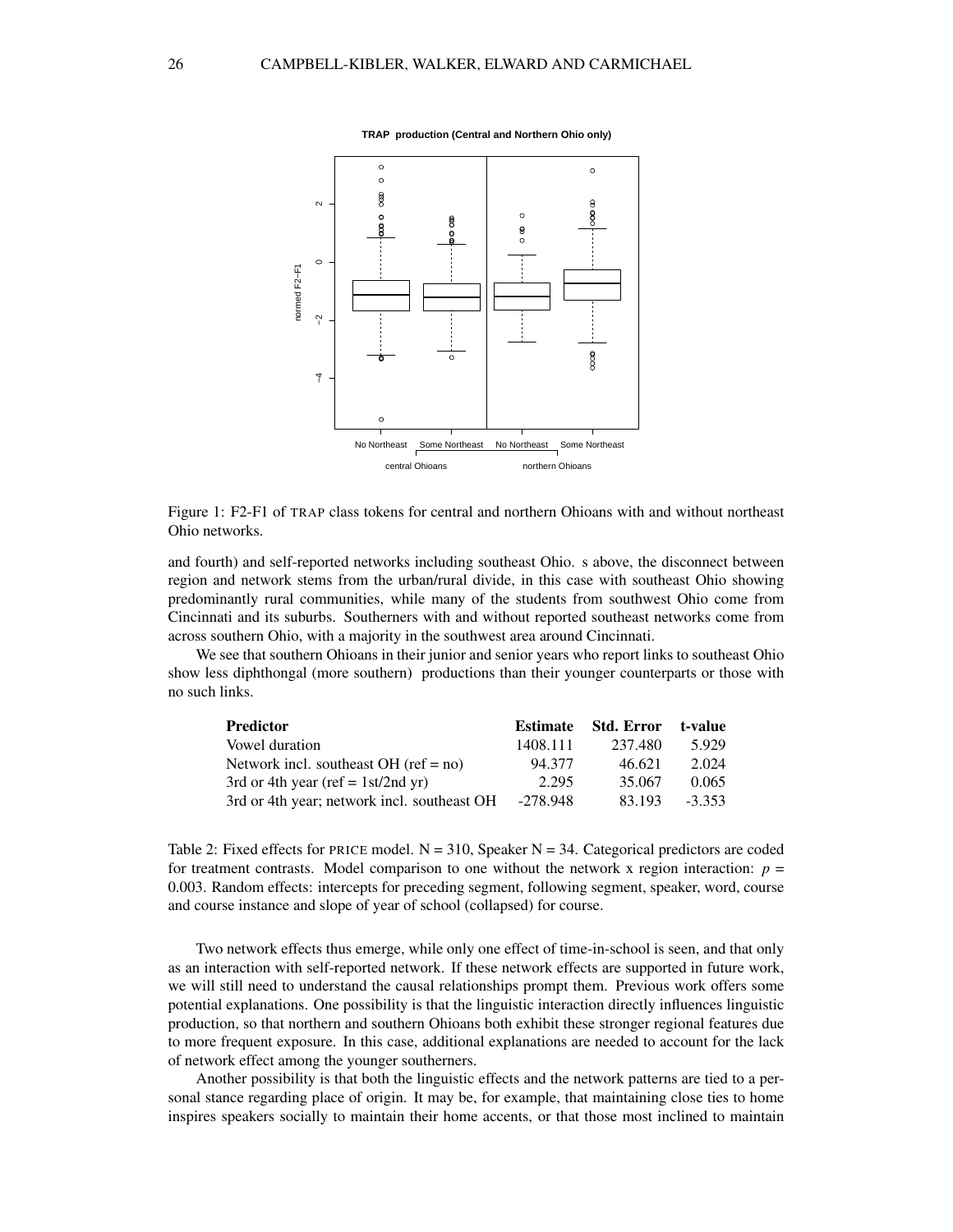

Figure 1: F2-F1 of TRAP class tokens for central and northern Ohioans with and without northeast Ohio networks.

and fourth) and self-reported networks including southeast Ohio. s above, the disconnect between region and network stems from the urban/rural divide, in this case with southeast Ohio showing predominantly rural communities, while many of the students from southwest Ohio come from Cincinnati and its suburbs. Southerners with and without reported southeast networks come from across southern Ohio, with a majority in the southwest area around Cincinnati.

We see that southern Ohioans in their junior and senior years who report links to southeast Ohio show less diphthongal (more southern) productions than their younger counterparts or those with no such links.

| <b>Predictor</b>                            | <b>Estimate</b> | Std. Error | t-value  |
|---------------------------------------------|-----------------|------------|----------|
| Vowel duration                              | 1408.111        | 237.480    | 5.929    |
| Network incl. southeast OH (ref = $no$ )    | 94.377          | 46.621     | 2.024    |
| 3rd or 4th year (ref = $1st/2nd yr$ )       | 2.295           | 35.067     | 0.065    |
| 3rd or 4th year; network incl. southeast OH | $-278.948$      | 83.193     | $-3.353$ |

Table 2: Fixed effects for PRICE model.  $N = 310$ , Speaker  $N = 34$ . Categorical predictors are coded for treatment contrasts. Model comparison to one without the network x region interaction:  $p =$ 0.003. Random effects: intercepts for preceding segment, following segment, speaker, word, course and course instance and slope of year of school (collapsed) for course.

Two network effects thus emerge, while only one effect of time-in-school is seen, and that only as an interaction with self-reported network. If these network effects are supported in future work, we will still need to understand the causal relationships prompt them. Previous work offers some potential explanations. One possibility is that the linguistic interaction directly influences linguistic production, so that northern and southern Ohioans both exhibit these stronger regional features due to more frequent exposure. In this case, additional explanations are needed to account for the lack of network effect among the younger southerners.

Another possibility is that both the linguistic effects and the network patterns are tied to a personal stance regarding place of origin. It may be, for example, that maintaining close ties to home inspires speakers socially to maintain their home accents, or that those most inclined to maintain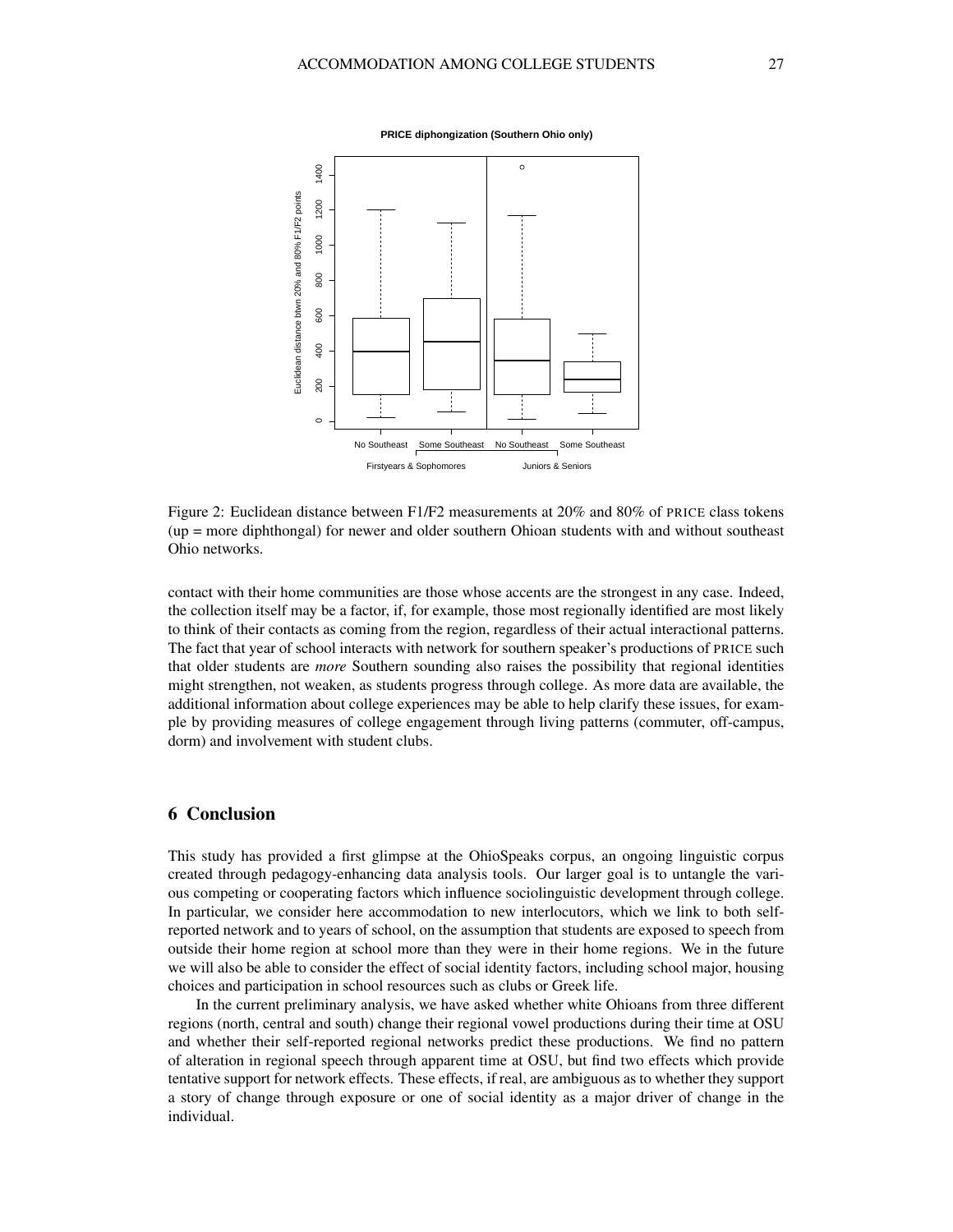

**PRICE diphongization (Southern Ohio only)**

Figure 2: Euclidean distance between F1/F2 measurements at 20% and 80% of PRICE class tokens (up = more diphthongal) for newer and older southern Ohioan students with and without southeast Ohio networks.

contact with their home communities are those whose accents are the strongest in any case. Indeed, the collection itself may be a factor, if, for example, those most regionally identified are most likely to think of their contacts as coming from the region, regardless of their actual interactional patterns. The fact that year of school interacts with network for southern speaker's productions of PRICE such that older students are *more* Southern sounding also raises the possibility that regional identities might strengthen, not weaken, as students progress through college. As more data are available, the additional information about college experiences may be able to help clarify these issues, for example by providing measures of college engagement through living patterns (commuter, off-campus, dorm) and involvement with student clubs.

#### 6 Conclusion

This study has provided a first glimpse at the OhioSpeaks corpus, an ongoing linguistic corpus created through pedagogy-enhancing data analysis tools. Our larger goal is to untangle the various competing or cooperating factors which influence sociolinguistic development through college. In particular, we consider here accommodation to new interlocutors, which we link to both selfreported network and to years of school, on the assumption that students are exposed to speech from outside their home region at school more than they were in their home regions. We in the future we will also be able to consider the effect of social identity factors, including school major, housing choices and participation in school resources such as clubs or Greek life.

In the current preliminary analysis, we have asked whether white Ohioans from three different regions (north, central and south) change their regional vowel productions during their time at OSU and whether their self-reported regional networks predict these productions. We find no pattern of alteration in regional speech through apparent time at OSU, but find two effects which provide tentative support for network effects. These effects, if real, are ambiguous as to whether they support a story of change through exposure or one of social identity as a major driver of change in the individual.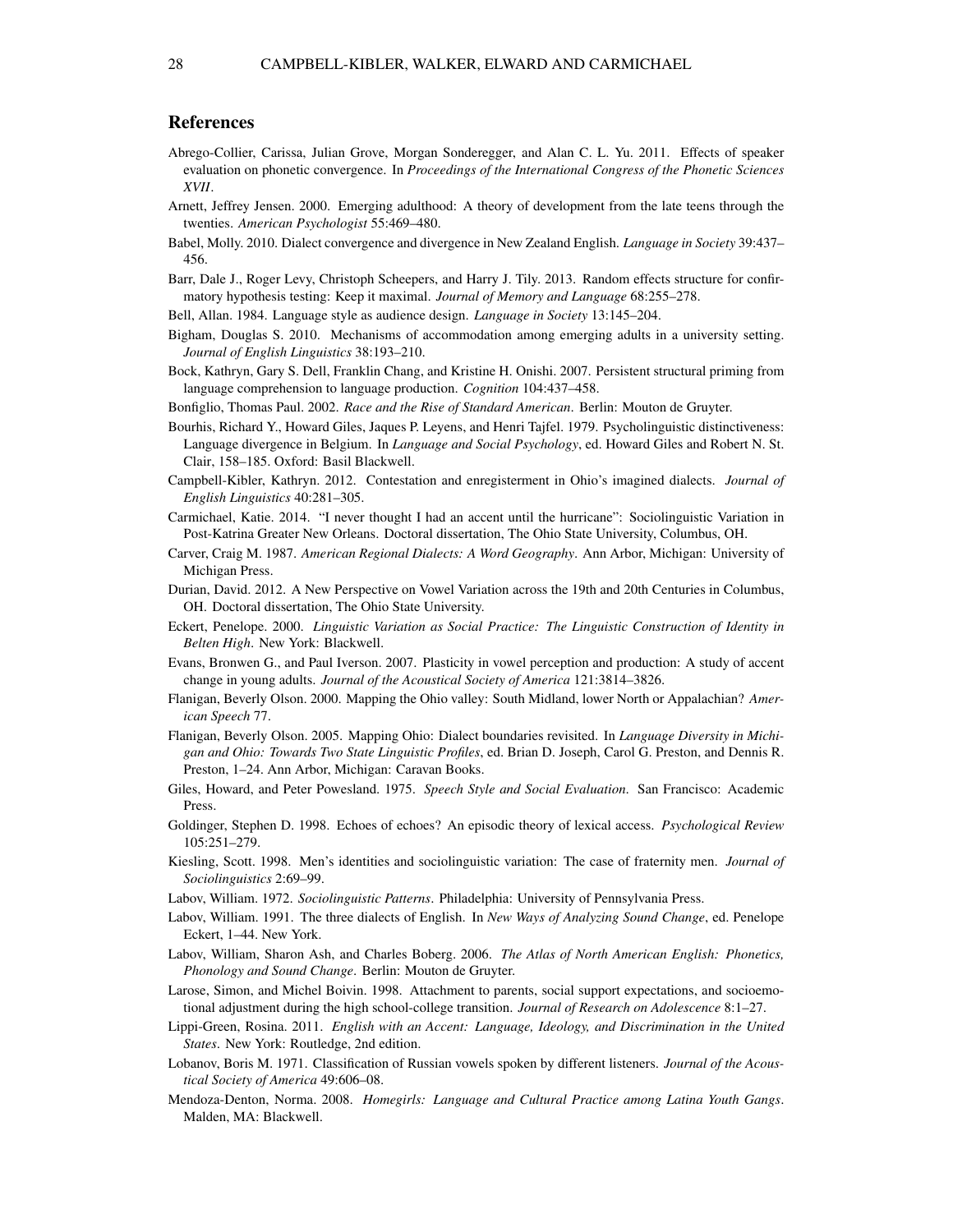#### References

- Abrego-Collier, Carissa, Julian Grove, Morgan Sonderegger, and Alan C. L. Yu. 2011. Effects of speaker evaluation on phonetic convergence. In *Proceedings of the International Congress of the Phonetic Sciences XVII*.
- Arnett, Jeffrey Jensen. 2000. Emerging adulthood: A theory of development from the late teens through the twenties. *American Psychologist* 55:469–480.
- Babel, Molly. 2010. Dialect convergence and divergence in New Zealand English. *Language in Society* 39:437– 456.
- Barr, Dale J., Roger Levy, Christoph Scheepers, and Harry J. Tily. 2013. Random effects structure for confirmatory hypothesis testing: Keep it maximal. *Journal of Memory and Language* 68:255–278.
- Bell, Allan. 1984. Language style as audience design. *Language in Society* 13:145–204.
- Bigham, Douglas S. 2010. Mechanisms of accommodation among emerging adults in a university setting. *Journal of English Linguistics* 38:193–210.
- Bock, Kathryn, Gary S. Dell, Franklin Chang, and Kristine H. Onishi. 2007. Persistent structural priming from language comprehension to language production. *Cognition* 104:437–458.
- Bonfiglio, Thomas Paul. 2002. *Race and the Rise of Standard American*. Berlin: Mouton de Gruyter.
- Bourhis, Richard Y., Howard Giles, Jaques P. Leyens, and Henri Tajfel. 1979. Psycholinguistic distinctiveness: Language divergence in Belgium. In *Language and Social Psychology*, ed. Howard Giles and Robert N. St. Clair, 158–185. Oxford: Basil Blackwell.
- Campbell-Kibler, Kathryn. 2012. Contestation and enregisterment in Ohio's imagined dialects. *Journal of English Linguistics* 40:281–305.
- Carmichael, Katie. 2014. "I never thought I had an accent until the hurricane": Sociolinguistic Variation in Post-Katrina Greater New Orleans. Doctoral dissertation, The Ohio State University, Columbus, OH.
- Carver, Craig M. 1987. *American Regional Dialects: A Word Geography*. Ann Arbor, Michigan: University of Michigan Press.
- Durian, David. 2012. A New Perspective on Vowel Variation across the 19th and 20th Centuries in Columbus, OH. Doctoral dissertation, The Ohio State University.
- Eckert, Penelope. 2000. *Linguistic Variation as Social Practice: The Linguistic Construction of Identity in Belten High*. New York: Blackwell.
- Evans, Bronwen G., and Paul Iverson. 2007. Plasticity in vowel perception and production: A study of accent change in young adults. *Journal of the Acoustical Society of America* 121:3814–3826.
- Flanigan, Beverly Olson. 2000. Mapping the Ohio valley: South Midland, lower North or Appalachian? *American Speech* 77.
- Flanigan, Beverly Olson. 2005. Mapping Ohio: Dialect boundaries revisited. In *Language Diversity in Michigan and Ohio: Towards Two State Linguistic Profiles*, ed. Brian D. Joseph, Carol G. Preston, and Dennis R. Preston, 1–24. Ann Arbor, Michigan: Caravan Books.
- Giles, Howard, and Peter Powesland. 1975. *Speech Style and Social Evaluation*. San Francisco: Academic Press.
- Goldinger, Stephen D. 1998. Echoes of echoes? An episodic theory of lexical access. *Psychological Review* 105:251–279.
- Kiesling, Scott. 1998. Men's identities and sociolinguistic variation: The case of fraternity men. *Journal of Sociolinguistics* 2:69–99.
- Labov, William. 1972. *Sociolinguistic Patterns*. Philadelphia: University of Pennsylvania Press.
- Labov, William. 1991. The three dialects of English. In *New Ways of Analyzing Sound Change*, ed. Penelope Eckert, 1–44. New York.
- Labov, William, Sharon Ash, and Charles Boberg. 2006. *The Atlas of North American English: Phonetics, Phonology and Sound Change*. Berlin: Mouton de Gruyter.
- Larose, Simon, and Michel Boivin. 1998. Attachment to parents, social support expectations, and socioemotional adjustment during the high school-college transition. *Journal of Research on Adolescence* 8:1–27.
- Lippi-Green, Rosina. 2011. *English with an Accent: Language, Ideology, and Discrimination in the United States*. New York: Routledge, 2nd edition.
- Lobanov, Boris M. 1971. Classification of Russian vowels spoken by different listeners. *Journal of the Acoustical Society of America* 49:606–08.
- Mendoza-Denton, Norma. 2008. *Homegirls: Language and Cultural Practice among Latina Youth Gangs*. Malden, MA: Blackwell.